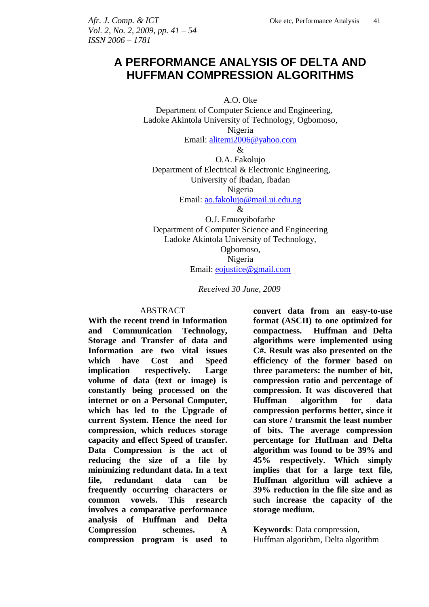*Vol. 2, No. 2, 2009, pp. 41 – 54 ISSN 2006 – 1781*

# **A PERFORMANCE ANALYSIS OF DELTA AND HUFFMAN COMPRESSION ALGORITHMS**

A.O. Oke

 Department of Computer Science and Engineering, Ladoke Akintola University of Technology, Ogbomoso, Nigeria

Email: [alitemi2006@yahoo.com](mailto:alitemi2006@yahoo.com)

&

O.A. Fakolujo Department of Electrical & Electronic Engineering, University of Ibadan, Ibadan Nigeria

Email: [ao.fakolujo@mail.ui.edu.ng](mailto:ao.fakolujo@mail.ui.edu.ng)

&

O.J. Emuoyibofarhe Department of Computer Science and Engineering Ladoke Akintola University of Technology, Ogbomoso, Nigeria

Email: [eojustice@gmail.com](mailto:eojustice@gmail.com)

*Received 30 June, 2009*

#### ABSTRACT

**With the recent trend in Information and Communication Technology, Storage and Transfer of data and Information are two vital issues which have Cost and Speed implication respectively. Large volume of data (text or image) is constantly being processed on the internet or on a Personal Computer, which has led to the Upgrade of current System. Hence the need for compression, which reduces storage capacity and effect Speed of transfer. Data Compression is the act of reducing the size of a file by minimizing redundant data. In a text file, redundant data can be frequently occurring characters or common vowels. This research involves a comparative performance analysis of Huffman and Delta Compression schemes. A compression program is used to**  **convert data from an easy-to-use format (ASCII) to one optimized for compactness. Huffman and Delta algorithms were implemented using C#. Result was also presented on the efficiency of the former based on three parameters: the number of bit, compression ratio and percentage of compression. It was discovered that Huffman algorithm for data compression performs better, since it can store / transmit the least number of bits. The average compression percentage for Huffman and Delta algorithm was found to be 39% and 45% respectively. Which simply implies that for a large text file, Huffman algorithm will achieve a 39% reduction in the file size and as such increase the capacity of the storage medium.** 

**Keywords**: Data compression, Huffman algorithm, Delta algorithm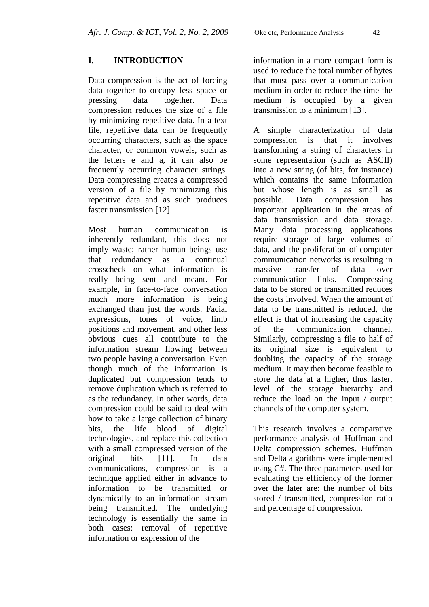# **I. INTRODUCTION**

Data compression is the act of forcing data together to occupy less space or pressing data together. Data compression reduces the size of a file by minimizing repetitive data. In a text file, repetitive data can be frequently occurring characters, such as the space character, or common vowels, such as the letters e and a, it can also be frequently occurring character strings. Data compressing creates a compressed version of a file by minimizing this repetitive data and as such produces faster transmission [12].

Most human communication is inherently redundant, this does not imply waste; rather human beings use that redundancy as a continual crosscheck on what information is really being sent and meant. For example, in face-to-face conversation much more information is being exchanged than just the words. Facial expressions, tones of voice, limb positions and movement, and other less obvious cues all contribute to the information stream flowing between two people having a conversation. Even though much of the information is duplicated but compression tends to remove duplication which is referred to as the redundancy. In other words, data compression could be said to deal with how to take a large collection of binary bits, the life blood of digital technologies, and replace this collection with a small compressed version of the original bits [11]. In data communications, compression is a technique applied either in advance to information to be transmitted or dynamically to an information stream being transmitted. The underlying technology is essentially the same in both cases: removal of repetitive information or expression of the

information in a more compact form is used to reduce the total number of bytes that must pass over a communication medium in order to reduce the time the medium is occupied by a given transmission to a minimum [13].

A simple characterization of data compression is that it involves transforming a string of characters in some representation (such as ASCII) into a new string (of bits, for instance) which contains the same information but whose length is as small as possible. Data compression has important application in the areas of data transmission and data storage. Many data processing applications require storage of large volumes of data, and the proliferation of computer communication networks is resulting in massive transfer of data over communication links. Compressing data to be stored or transmitted reduces the costs involved. When the amount of data to be transmitted is reduced, the effect is that of increasing the capacity of the communication channel. Similarly, compressing a file to half of its original size is equivalent to doubling the capacity of the storage medium. It may then become feasible to store the data at a higher, thus faster, level of the storage hierarchy and reduce the load on the input / output channels of the computer system.

This research involves a comparative performance analysis of Huffman and Delta compression schemes. Huffman and Delta algorithms were implemented using C#. The three parameters used for evaluating the efficiency of the former over the later are: the number of bits stored / transmitted, compression ratio and percentage of compression.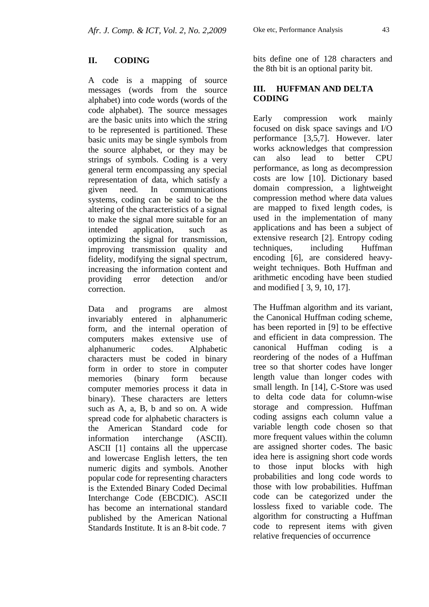# **II. CODING**

A code is a mapping of source messages (words from the source alphabet) into code words (words of the code alphabet). The source messages are the basic units into which the string to be represented is partitioned. These basic units may be single symbols from the source alphabet, or they may be strings of symbols. Coding is a very general term encompassing any special representation of data, which satisfy a given need. In communications systems, coding can be said to be the altering of the characteristics of a signal to make the signal more suitable for an intended application, such as optimizing the signal for transmission, improving transmission quality and fidelity, modifying the signal spectrum, increasing the information content and providing error detection and/or correction.

Data and programs are almost invariably entered in alphanumeric form, and the internal operation of computers makes extensive use of alphanumeric codes. Alphabetic characters must be coded in binary form in order to store in computer memories (binary form because computer memories process it data in binary). These characters are letters such as A, a, B, b and so on. A wide spread code for alphabetic characters is the American Standard code for information interchange (ASCII). ASCII [1] contains all the uppercase and lowercase English letters, the ten numeric digits and symbols. Another popular code for representing characters is the Extended Binary Coded Decimal Interchange Code (EBCDIC). ASCII has become an international standard published by the American National Standards Institute. It is an 8-bit code. 7

bits define one of 128 characters and the 8th bit is an optional parity bit.

# **III. HUFFMAN AND DELTA CODING**

Early compression work mainly focused on disk space savings and I/O performance [3,5,7]. However. later works acknowledges that compression can also lead to better CPU performance, as long as decompression costs are low [10]. Dictionary based domain compression, a lightweight compression method where data values are mapped to fixed length codes, is used in the implementation of many applications and has been a subject of extensive research [2]. Entropy coding techniques, including Huffman encoding [6], are considered heavyweight techniques. Both Huffman and arithmetic encoding have been studied and modified [ 3, 9, 10, 17].

The Huffman algorithm and its variant, the Canonical Huffman coding scheme, has been reported in [9] to be effective and efficient in data compression. The canonical Huffman coding is a reordering of the nodes of a Huffman tree so that shorter codes have longer length value than longer codes with small length. In [14], C-Store was used to delta code data for column-wise storage and compression. Huffman coding assigns each column value a variable length code chosen so that more frequent values within the column are assigned shorter codes. The basic idea here is assigning short code words to those input blocks with high probabilities and long code words to those with low probabilities. Huffman code can be categorized under the lossless fixed to variable code. The algorithm for constructing a Huffman code to represent items with given relative frequencies of occurrence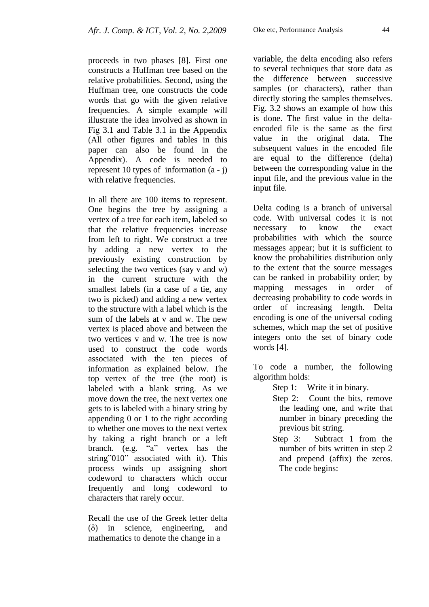proceeds in two phases [8]. First one constructs a Huffman tree based on the relative probabilities. Second, using the Huffman tree, one constructs the code words that go with the given relative frequencies. A simple example will illustrate the idea involved as shown in Fig 3.1 and Table 3.1 in the Appendix (All other figures and tables in this paper can also be found in the Appendix). A code is needed to represent 10 types of information  $(a - i)$ with relative frequencies.

In all there are 100 items to represent. One begins the tree by assigning a vertex of a tree for each item, labeled so that the relative frequencies increase from left to right. We construct a tree by adding a new vertex to the previously existing construction by selecting the two vertices (say v and w) in the current structure with the smallest labels (in a case of a tie, any two is picked) and adding a new vertex to the structure with a label which is the sum of the labels at v and w. The new vertex is placed above and between the two vertices v and w. The tree is now used to construct the code words associated with the ten pieces of information as explained below. The top vertex of the tree (the root) is labeled with a blank string. As we move down the tree, the next vertex one gets to is labeled with a binary string by appending 0 or 1 to the right according to whether one moves to the next vertex by taking a right branch or a left branch. (e.g. "a" vertex has the string"010" associated with it). This process winds up assigning short codeword to characters which occur frequently and long codeword to characters that rarely occur.

Recall the use of the Greek letter delta (δ) in science, engineering, and mathematics to denote the change in a

variable, the delta encoding also refers to several techniques that store data as the difference between successive samples (or characters), rather than directly storing the samples themselves. Fig. 3.2 shows an example of how this is done. The first value in the deltaencoded file is the same as the first value in the original data. The subsequent values in the encoded file are equal to the difference (delta) between the corresponding value in the input file, and the previous value in the input file.

Delta coding is a branch of universal code. With universal codes it is not necessary to know the exact probabilities with which the source messages appear; but it is sufficient to know the probabilities distribution only to the extent that the source messages can be ranked in probability order; by mapping messages in order of decreasing probability to code words in order of increasing length. Delta encoding is one of the universal coding schemes, which map the set of positive integers onto the set of binary code words [4].

To code a number, the following algorithm holds:

- Step 1: Write it in binary.
- Step 2: Count the bits, remove the leading one, and write that number in binary preceding the previous bit string.
- Step 3: Subtract 1 from the number of bits written in step 2 and prepend (affix) the zeros. The code begins: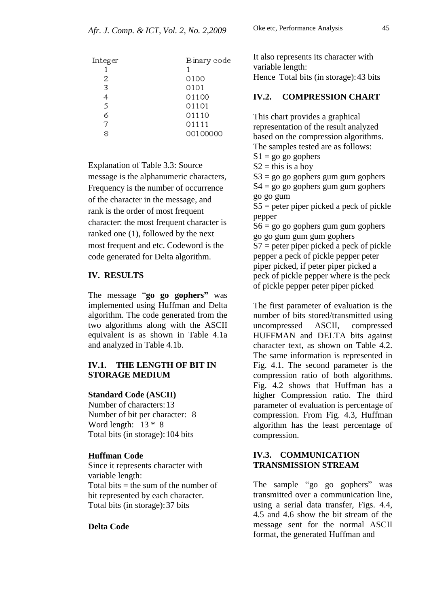| Integer | Binary code |
|---------|-------------|
|         |             |
| 2       | 0100        |
| 3       | 0101        |
| 4       | 01100       |
| 5       | 01101       |
| 6       | 01110       |
| 7       | 01111       |
|         | 00100000    |

Explanation of Table 3.3: Source message is the alphanumeric characters, Frequency is the number of occurrence of the character in the message, and rank is the order of most frequent character: the most frequent character is ranked one (1), followed by the next most frequent and etc. Codeword is the code generated for Delta algorithm.

### **IV. RESULTS**

The message "**go go gophers"** was implemented using Huffman and Delta algorithm. The code generated from the two algorithms along with the ASCII equivalent is as shown in Table 4.1a and analyzed in Table 4.1b.

# **IV.1. THE LENGTH OF BIT IN STORAGE MEDIUM**

#### **Standard Code (ASCII)**

Number of characters:13 Number of bit per character: 8 Word length: 13 \* 8 Total bits (in storage):104 bits

### **Huffman Code**

Since it represents character with variable length: Total bits  $=$  the sum of the number of bit represented by each character. Total bits (in storage):37 bits

### **Delta Code**

Oke etc, Performance Analysis 45

It also represents its character with variable length:

# Hence Total bits (in storage):43 bits

## **IV.2. COMPRESSION CHART**

This chart provides a graphical representation of the result analyzed based on the compression algorithms. The samples tested are as follows:

 $S1 = go go gophers$ 

 $S2 =$  this is a boy

 $S3 = go go go$  gophers gum gum gophers  $S4 = go go go pphers gum gum gophers$ 

go go gum

S5 = peter piper picked a peck of pickle pepper

 $S6 = go go go$  gophers gum gum gophers go go gum gum gum gophers

 $S7$  = peter piper picked a peck of pickle pepper a peck of pickle pepper peter piper picked, if peter piper picked a peck of pickle pepper where is the peck of pickle pepper peter piper picked

The first parameter of evaluation is the number of bits stored/transmitted using uncompressed ASCII, compressed HUFFMAN and DELTA bits against character text, as shown on Table 4.2. The same information is represented in Fig. 4.1. The second parameter is the compression ratio of both algorithms. Fig. 4.2 shows that Huffman has a higher Compression ratio. The third parameter of evaluation is percentage of compression. From Fig. 4.3, Huffman algorithm has the least percentage of compression.

# **IV.3. COMMUNICATION TRANSMISSION STREAM**

The sample "go go gophers" was transmitted over a communication line, using a serial data transfer, Figs. 4.4, 4.5 and 4.6 show the bit stream of the message sent for the normal ASCII format, the generated Huffman and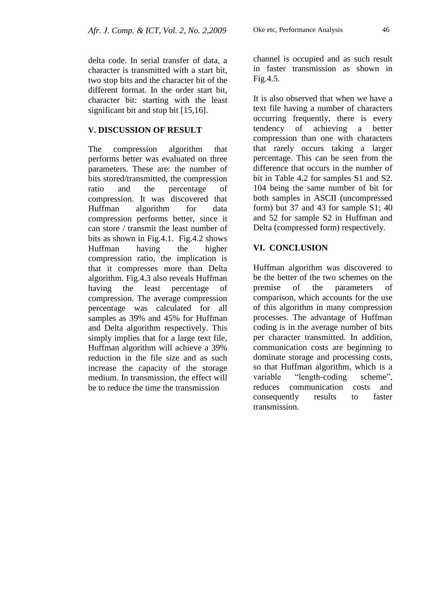delta code. In serial transfer of data, a character is transmitted with a start bit, two stop bits and the character bit of the different format. In the order start bit, character bit: starting with the least significant bit and stop bit [15,16].

#### **V. DISCUSSION OF RESULT**

The compression algorithm that performs better was evaluated on three parameters. These are: the number of bits stored/transmitted, the compression ratio and the percentage of compression. It was discovered that Huffman algorithm for data compression performs better, since it can store / transmit the least number of bits as shown in Fig.4.1. Fig.4.2 shows Huffman having the higher compression ratio, the implication is that it compresses more than Delta algorithm. Fig.4.3 also reveals Huffman having the least percentage of compression. The average compression percentage was calculated for all samples as 39% and 45% for Huffman and Delta algorithm respectively. This simply implies that for a large text file, Huffman algorithm will achieve a 39% reduction in the file size and as such increase the capacity of the storage medium. In transmission, the effect will be to reduce the time the transmission

channel is occupied and as such result in faster transmission as shown in Fig.4.5.

It is also observed that when we have a text file having a number of characters occurring frequently, there is every tendency of achieving a better compression than one with characters that rarely occurs taking a larger percentage. This can be seen from the difference that occurs in the number of bit in Table 4.2 for samples S1 and S2. 104 being the same number of bit for both samples in ASCII (uncompressed form) but 37 and 43 for sample S1; 40 and 52 for sample S2 in Huffman and Delta (compressed form) respectively.

#### **VI. CONCLUSION**

Huffman algorithm was discovered to be the better of the two schemes on the premise of the parameters of comparison, which accounts for the use of this algorithm in many compression processes. The advantage of Huffman coding is in the average number of bits per character transmitted. In addition, communication costs are beginning to dominate storage and processing costs, so that Huffman algorithm, which is a variable "length-coding scheme", reduces communication costs and consequently results to faster transmission.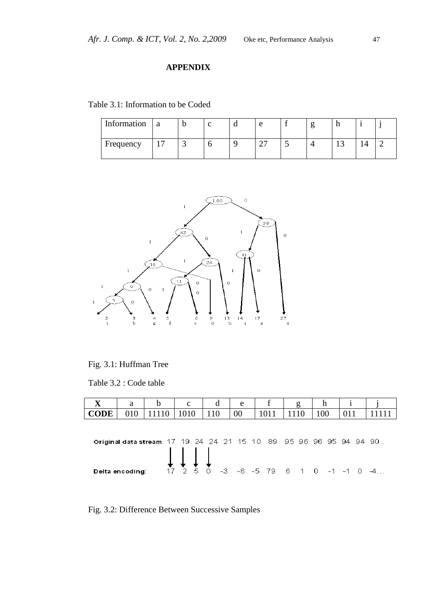# **APPENDIX**

Table 3.1: Information to be Coded

| Information | ' a |   |  | e | 0 |   |  |
|-------------|-----|---|--|---|---|---|--|
| Frequency   |     | ت |  |   |   | ∸ |  |



Fig. 3.1: Huffman Tree

Table 3.2 : Code table

| X           | a               |                                                                    | $\mathbf{c}$                                  | d   | e  | g                                         | h   |     |  |
|-------------|-----------------|--------------------------------------------------------------------|-----------------------------------------------|-----|----|-------------------------------------------|-----|-----|--|
| <b>CODE</b> | 010             |                                                                    | 1010                                          | 110 | 00 |                                           | 100 | 011 |  |
|             |                 | Original data stream: 17 19 24 24 21 15 10 89 95 96 96 95 94 94 90 | $\downarrow \downarrow \downarrow \downarrow$ |     |    |                                           |     |     |  |
|             | Delta encoding: |                                                                    |                                               |     |    | $17$ $2$ 5 0 -3 -6 -5 79 6 1 0 -1 -1 0 -4 |     |     |  |

Fig. 3.2: Difference Between Successive Samples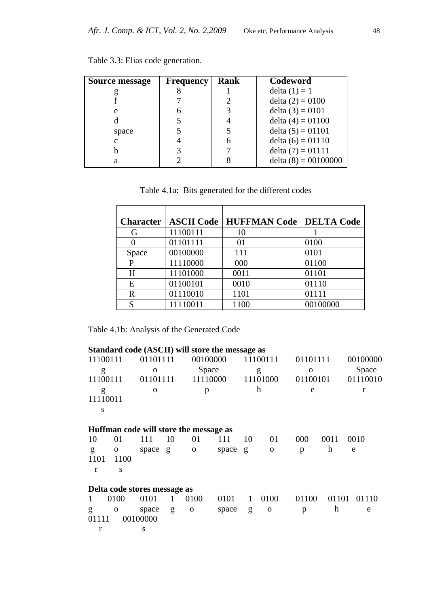| <b>Source message</b> | <b>Frequency</b> | Rank | Codeword               |
|-----------------------|------------------|------|------------------------|
|                       |                  |      | delta $(1) = 1$        |
|                       |                  |      | delta $(2) = 0100$     |
| e                     |                  |      | delta $(3) = 0101$     |
|                       |                  |      | delta $(4) = 01100$    |
| space                 |                  |      | delta $(5) = 01101$    |
| c                     |                  |      | delta $(6) = 01110$    |
| h                     |                  |      | delta $(7) = 01111$    |
| a                     |                  |      | delta $(8) = 00100000$ |

| Table 3.3: Elias code generation. |  |  |
|-----------------------------------|--|--|
|-----------------------------------|--|--|

Table 4.1a: Bits generated for the different codes

| <b>Character</b> | <b>ASCII Code</b> | <b>HUFFMAN Code</b> | <b>DELTA Code</b> |
|------------------|-------------------|---------------------|-------------------|
| G                | 11100111          | 10                  |                   |
|                  | 01101111          | 01                  | 0100              |
| Space            | 00100000          | 111                 | 0101              |
| P                | 11110000          | 000                 | 01100             |
| H                | 11101000          | 0011                | 01101             |
| E                | 01100101          | 0010                | 01110             |
| $\mathbb{R}$     | 01110010          | 1101                | 01111             |
| S                | 11110011          | 1100                | 00100000          |

Table 4.1b: Analysis of the Generated Code

|          |                              |             |    | Standard code (ASCII) will store the message as |       |          |              |             |          |          |
|----------|------------------------------|-------------|----|-------------------------------------------------|-------|----------|--------------|-------------|----------|----------|
| 11100111 |                              | 01101111    |    | 00100000                                        |       | 11100111 |              |             | 01101111 |          |
| g        |                              | $\mathbf 0$ |    | Space                                           |       |          | g            | $\mathbf 0$ |          | Space    |
| 11100111 |                              | 01101111    |    | 11110000                                        |       |          | 11101000     | 01100101    |          | 01110010 |
| g        |                              | $\mathbf 0$ |    | p                                               |       |          | h            | e           |          | r        |
| 11110011 |                              |             |    |                                                 |       |          |              |             |          |          |
| S        |                              |             |    |                                                 |       |          |              |             |          |          |
|          |                              |             |    | Huffman code will store the message as          |       |          |              |             |          |          |
| 10       | 01                           | 111         | 10 | 01                                              | 111   | 10       | 01           | 000         | 0011     | 0010     |
| g        | 0                            | space       | g  | $\mathbf{O}$                                    | space | g        | $\mathbf{0}$ | p           | h        | e        |
| 1101     | 1100                         |             |    |                                                 |       |          |              |             |          |          |
| r        | S                            |             |    |                                                 |       |          |              |             |          |          |
|          | Delta code stores message as |             |    |                                                 |       |          |              |             |          |          |
| 1        | 0100                         | 0101        | 1  | 0100                                            | 0101  | 1        | 0100         | 01100       | 01101    | 01110    |
| g        | 0                            | space       | g  | $\mathbf 0$                                     | space | g        | $\Omega$     | p           | h        | e        |
| 01111    |                              | 00100000    |    |                                                 |       |          |              |             |          |          |
| r        |                              | S           |    |                                                 |       |          |              |             |          |          |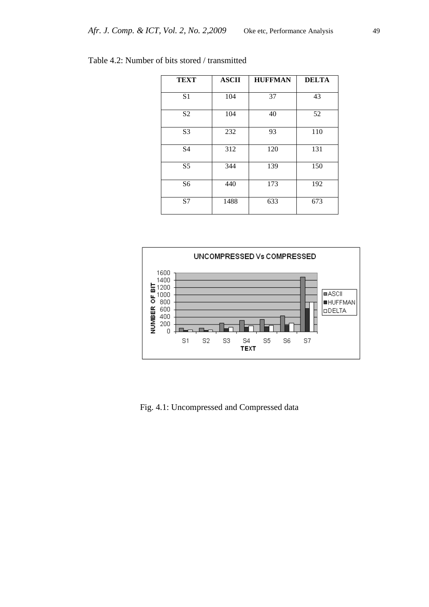| <b>TEXT</b>    | <b>ASCII</b> | <b>HUFFMAN</b> | <b>DELTA</b> |
|----------------|--------------|----------------|--------------|
| S <sub>1</sub> | 104          | 37             | 43           |
| S <sub>2</sub> | 104          | 40             | 52           |
| S <sub>3</sub> | 232          | 93             | 110          |
| S <sub>4</sub> | 312          | 120            | 131          |
| S <sub>5</sub> | 344          | 139            | 150          |
| S <sub>6</sub> | 440          | 173            | 192          |
| S7             | 1488         | 633            | 673          |

| Table 4.2: Number of bits stored / transmitted |  |
|------------------------------------------------|--|
|------------------------------------------------|--|



Fig. 4.1: Uncompressed and Compressed data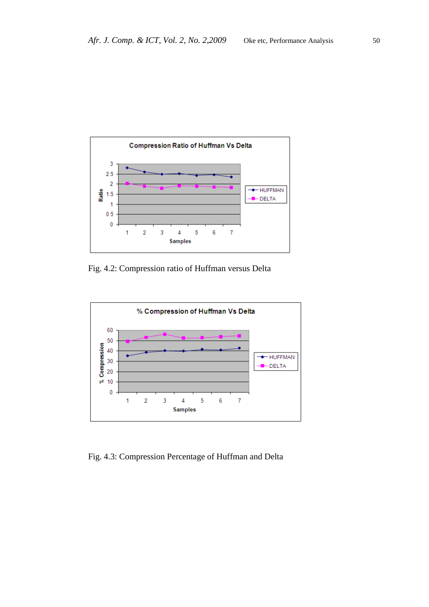

Fig. 4.2: Compression ratio of Huffman versus Delta



Fig. 4.3: Compression Percentage of Huffman and Delta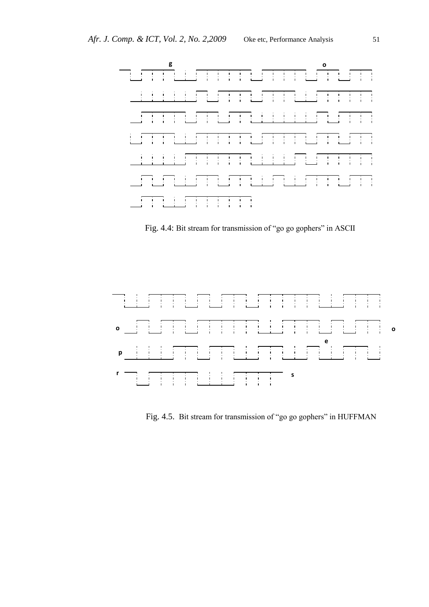

Fig. 4.4: Bit stream for transmission of "go go gophers" in ASCII



Fig. 4.5. Bit stream for transmission of "go go gophers" in HUFFMAN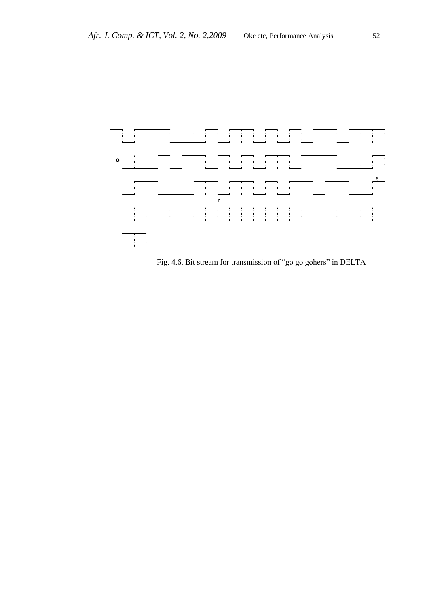

Fig. 4.6. Bit stream for transmission of "go go gohers" in DELTA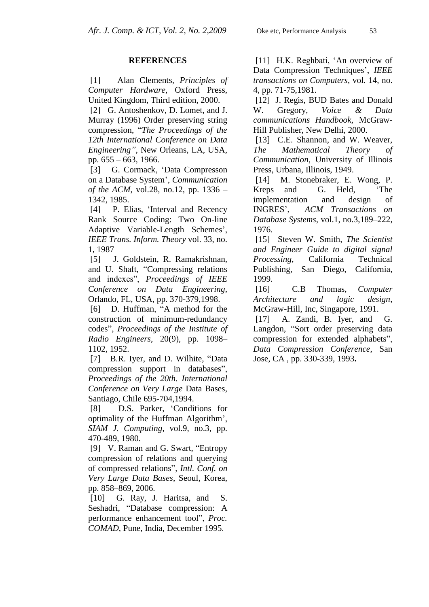#### **REFERENCES**

[1]Alan Clements, *Principles of Computer Hardware*, Oxford Press, United Kingdom, Third edition, 2000.

[2] G. Antoshenkov, D. Lomet, and J. Murray (1996) Order preserving string compression, "*The Proceedings of the 12th International Conference on Data Engineering"*, New Orleans, LA, USA, pp. 655 – 663, 1966.

[3] G. Cormack, "Data Compresson on a Database System", *Communication of the ACM*, vol.28, no.12, pp. 1336 – 1342, 1985.

[4] P. Elias, 'Interval and Recency Rank Source Coding: Two On-line Adaptive Variable-Length Schemes', *IEEE Trans. Inform. Theory* vol. 33, no. 1, 1987

[5] J. Goldstein, R. Ramakrishnan, and U. Shaft, "Compressing relations and indexes", *Proceedings of IEEE Conference on Data Engineering*, Orlando, FL, USA, pp. 370-379,1998.

[6] D. Huffman, "A method for the construction of minimum-redundancy codes", *Proceedings of the Institute of Radio Engineers*, 20(9), pp. 1098– 1102, 1952.

[7] B.R. Iyer, and D. Wilhite, "Data compression support in databases", *Proceedings of the 20th. International Conference on Very Large* Data Bases, Santiago, Chile 695-704,1994.

[8] D.S. Parker, "Conditions for optimality of the Huffman Algorithm", *SIAM J. Computing*, vol.9, no.3, pp. 470-489, 1980.

[9] V. Raman and G. Swart, "Entropy compression of relations and querying of compressed relations", *Intl. Conf. on Very Large Data Bases*, Seoul, Korea, pp. 858–869, 2006.

[10] G. Ray, J. Haritsa, and S. Seshadri, "Database compression: A performance enhancement tool", *Proc. COMAD*, Pune, India, December 1995.

[11] H.K. Reghbati, 'An overview of Data Compression Techniques", *IEEE transactions on Computers*, vol. 14, no. 4, pp. 71-75,1981.

[12] J. Regis, BUD Bates and Donald W. Gregory, *Voice & Data communications Handbook*, McGraw-Hill Publisher, New Delhi, 2000.

[13] C.E. Shannon, and W. Weaver, *The Mathematical Theory of Communication*, University of Illinois Press, Urbana, Illinois, 1949.

[14] M. Stonebraker, E. Wong, P. Kreps and G. Held, "The implementation and design of INGRES", *ACM Transactions on Database Systems*, vol.1, no.3,189–222, 1976.

[15] Steven W. Smith, *The Scientist and Engineer Guide to digital signal Processing*, California Technical Publishing, San Diego, California, 1999.

[16] C.B Thomas, *Computer Architecture and logic design*, McGraw-Hill, Inc, Singapore, 1991.

[17] A. Zandi, B. Iyer, and G. Langdon, "Sort order preserving data compression for extended alphabets", *Data Compression Conference*, San Jose, CA , pp. 330-339, 1993**.**